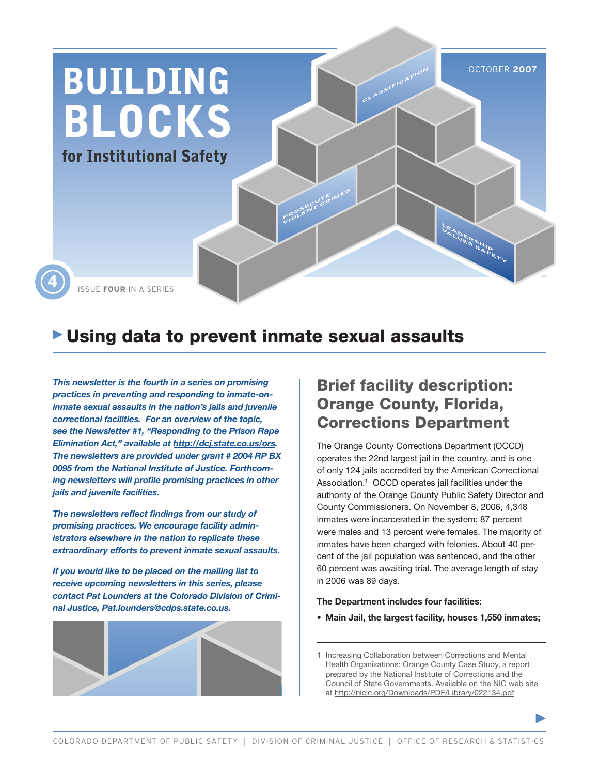

# Using data to prevent inmate sexual assaults

*This newsletter is the fourth in a series on promising practices in preventing and responding to inmate-oninmate sexual assaults in the nation's jails and juvenile correctional facilities. For an overview of the topic, see the Newsletter #1, "Responding to the Prison Rape Elimination Act," available at http://dcj.state.co.us/ors. The newsletters are provided under grant # 2004 RP BX 0095 from the National Institute of Justice. Forthcoming newsletters will profile promising practices in other jails and juvenile facilities.* 

*The newsletters reflect findings from our study of promising practices. We encourage facility administrators elsewhere in the nation to replicate these extraordinary efforts to prevent inmate sexual assaults.* 

*If you would like to be placed on the mailing list to receive upcoming newsletters in this series, please contact Pat Lounders at the Colorado Division of Criminal Justice, Pat.lounders@cdps.state.co.us.* 



## Brief facility description: Orange County, Florida, Corrections Department

The Orange County Corrections Department (OCCD) operates the 22nd largest jail in the country, and is one of only 124 jails accredited by the American Correctional Association.<sup>1</sup> OCCD operates jail facilities under the authority of the Orange County Public Safety Director and County Commissioners. On November 8, 2006, 4,348 inmates were incarcerated in the system; 87 percent were males and 13 percent were females. The majority of inmates have been charged with felonies. About 40 percent of the jail population was sentenced, and the other 60 percent was awaiting trial. The average length of stay in 2006 was 89 days.

#### **The Department includes four facilities:**

**• Main Jail, the largest facility, houses 1,550 inmates;**

1 Increasing Collaboration between Corrections and Mental Health Organizations: Orange County Case Study, a report prepared by the National Institute of Corrections and the Council of State Governments. Available on the NIC web site at http://nicic.org/Downloads/PDF/Library/022134.pdf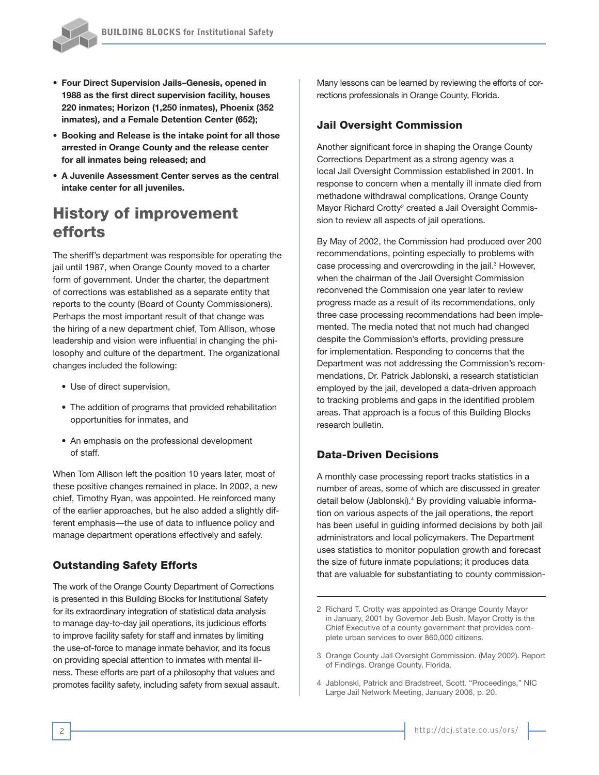

- **• Four Direct Supervision Jails–Genesis, opened in 1988 as the first direct supervision facility, houses 220 inmates; Horizon (1,250 inmates), Phoenix (352 inmates), and a Female Detention Center (652);**
- **• Booking and Release is the intake point for all those arrested in Orange County and the release center for all inmates being released; and**
- **• A Juvenile Assessment Center serves as the central intake center for all juveniles.**

# History of improvement efforts

The sheriff's department was responsible for operating the jail until 1987, when Orange County moved to a charter form of government. Under the charter, the department of corrections was established as a separate entity that reports to the county (Board of County Commissioners). Perhaps the most important result of that change was the hiring of a new department chief, Tom Allison, whose leadership and vision were influential in changing the philosophy and culture of the department. The organizational changes included the following:

- Use of direct supervision,
- The addition of programs that provided rehabilitation opportunities for inmates, and
- An emphasis on the professional development of staff.

When Tom Allison left the position 10 years later, most of these positive changes remained in place. In 2002, a new chief, Timothy Ryan, was appointed. He reinforced many of the earlier approaches, but he also added a slightly different emphasis—the use of data to influence policy and manage department operations effectively and safely.

## Outstanding Safety Efforts

The work of the Orange County Department of Corrections is presented in this Building Blocks for Institutional Safety for its extraordinary integration of statistical data analysis to manage day-to-day jail operations, its judicious efforts to improve facility safety for staff and inmates by limiting the use-of-force to manage inmate behavior, and its focus on providing special attention to inmates with mental illness. These efforts are part of a philosophy that values and promotes facility safety, including safety from sexual assault. Many lessons can be learned by reviewing the efforts of corrections professionals in Orange County, Florida.

#### Jail Oversight Commission

Another significant force in shaping the Orange County Corrections Department as a strong agency was a local Jail Oversight Commission established in 2001. In response to concern when a mentally ill inmate died from methadone withdrawal complications, Orange County Mayor Richard Crotty<sup>2</sup> created a Jail Oversight Commission to review all aspects of jail operations.

By May of 2002, the Commission had produced over 200 recommendations, pointing especially to problems with case processing and overcrowding in the jail.<sup>3</sup> However, when the chairman of the Jail Oversight Commission reconvened the Commission one year later to review progress made as a result of its recommendations, only three case processing recommendations had been implemented. The media noted that not much had changed despite the Commission's efforts, providing pressure for implementation. Responding to concerns that the Department was not addressing the Commission's recommendations, Dr. Patrick Jablonski, a research statistician employed by the jail, developed a data-driven approach to tracking problems and gaps in the identified problem areas. That approach is a focus of this Building Blocks research bulletin.

#### Data-Driven Decisions

A monthly case processing report tracks statistics in a number of areas, some of which are discussed in greater detail below (Jablonski).<sup>4</sup> By providing valuable information on various aspects of the jail operations, the report has been useful in guiding informed decisions by both jail administrators and local policymakers. The Department uses statistics to monitor population growth and forecast the size of future inmate populations; it produces data that are valuable for substantiating to county commission-

4 Jablonski, Patrick and Bradstreet, Scott. "Proceedings," NIC Large Jail Network Meeting, January 2006, p. 20.

<sup>2</sup> Richard T. Crotty was appointed as Orange County Mayor in January, 2001 by Governor Jeb Bush. Mayor Crotty is the Chief Executive of a county government that provides complete urban services to over 860,000 citizens.

<sup>3</sup> Orange County Jail Oversight Commission. (May 2002). Report of Findings. Orange County, Florida.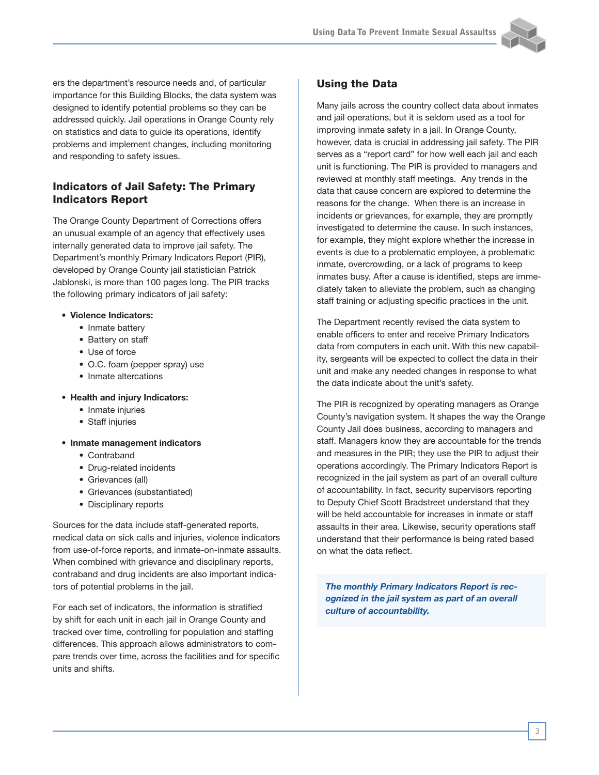

ers the department's resource needs and, of particular importance for this Building Blocks, the data system was designed to identify potential problems so they can be addressed quickly. Jail operations in Orange County rely on statistics and data to guide its operations, identify problems and implement changes, including monitoring and responding to safety issues.

### Indicators of Jail Safety: The Primary Indicators Report

The Orange County Department of Corrections offers an unusual example of an agency that effectively uses internally generated data to improve jail safety. The Department's monthly Primary Indicators Report (PIR), developed by Orange County jail statistician Patrick Jablonski, is more than 100 pages long. The PIR tracks the following primary indicators of jail safety:

- **• Violence Indicators:** 
	- Inmate battery
	- Battery on staff
	- Use of force
	- O.C. foam (pepper spray) use
	- Inmate altercations
- **• Health and injury Indicators:**
	- Inmate injuries
	- Staff injuries
- **• Inmate management indicators**
	- Contraband
	- Drug-related incidents
	- Grievances (all)
	- Grievances (substantiated)
	- Disciplinary reports

Sources for the data include staff-generated reports, medical data on sick calls and injuries, violence indicators from use-of-force reports, and inmate-on-inmate assaults. When combined with grievance and disciplinary reports, contraband and drug incidents are also important indicators of potential problems in the jail.

For each set of indicators, the information is stratified by shift for each unit in each jail in Orange County and tracked over time, controlling for population and staffing differences. This approach allows administrators to compare trends over time, across the facilities and for specific units and shifts.

#### Using the Data

Many jails across the country collect data about inmates and jail operations, but it is seldom used as a tool for improving inmate safety in a jail. In Orange County, however, data is crucial in addressing jail safety. The PIR serves as a "report card" for how well each jail and each unit is functioning. The PIR is provided to managers and reviewed at monthly staff meetings. Any trends in the data that cause concern are explored to determine the reasons for the change. When there is an increase in incidents or grievances, for example, they are promptly investigated to determine the cause. In such instances, for example, they might explore whether the increase in events is due to a problematic employee, a problematic inmate, overcrowding, or a lack of programs to keep inmates busy. After a cause is identified, steps are immediately taken to alleviate the problem, such as changing staff training or adjusting specific practices in the unit.

The Department recently revised the data system to enable officers to enter and receive Primary Indicators data from computers in each unit. With this new capability, sergeants will be expected to collect the data in their unit and make any needed changes in response to what the data indicate about the unit's safety.

The PIR is recognized by operating managers as Orange County's navigation system. It shapes the way the Orange County Jail does business, according to managers and staff. Managers know they are accountable for the trends and measures in the PIR; they use the PIR to adjust their operations accordingly. The Primary Indicators Report is recognized in the jail system as part of an overall culture of accountability. In fact, security supervisors reporting to Deputy Chief Scott Bradstreet understand that they will be held accountable for increases in inmate or staff assaults in their area. Likewise, security operations staff understand that their performance is being rated based on what the data reflect.

*The monthly Primary Indicators Report is recognized in the jail system as part of an overall culture of accountability.*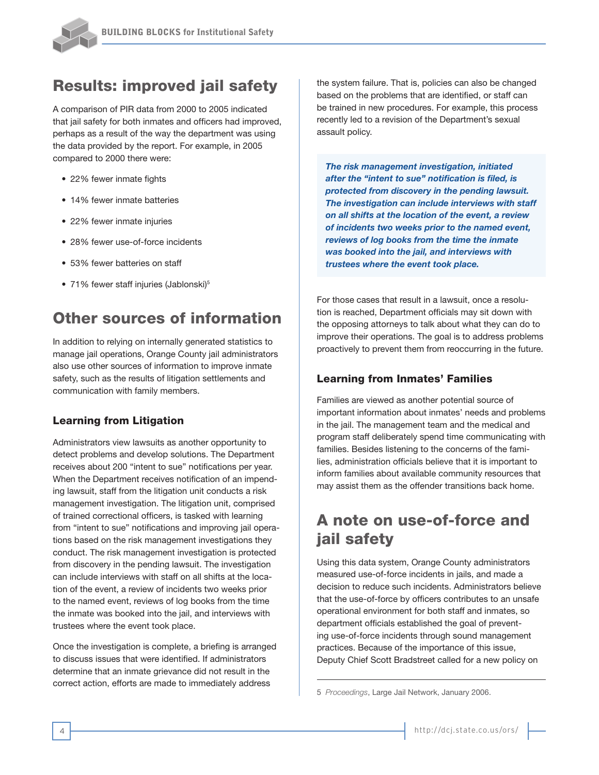

## Results: improved jail safety

A comparison of PIR data from 2000 to 2005 indicated that jail safety for both inmates and officers had improved, perhaps as a result of the way the department was using the data provided by the report. For example, in 2005 compared to 2000 there were:

- 22% fewer inmate fights
- 14% fewer inmate batteries
- 22% fewer inmate injuries
- 28% fewer use-of-force incidents
- 53% fewer batteries on staff
- 71% fewer staff injuries (Jablonski)<sup>5</sup>

## Other sources of information

In addition to relying on internally generated statistics to manage jail operations, Orange County jail administrators also use other sources of information to improve inmate safety, such as the results of litigation settlements and communication with family members.

#### Learning from Litigation

Administrators view lawsuits as another opportunity to detect problems and develop solutions. The Department receives about 200 "intent to sue" notifications per year. When the Department receives notification of an impending lawsuit, staff from the litigation unit conducts a risk management investigation. The litigation unit, comprised of trained correctional officers, is tasked with learning from "intent to sue" notifications and improving jail operations based on the risk management investigations they conduct. The risk management investigation is protected from discovery in the pending lawsuit. The investigation can include interviews with staff on all shifts at the location of the event, a review of incidents two weeks prior to the named event, reviews of log books from the time the inmate was booked into the jail, and interviews with trustees where the event took place.

Once the investigation is complete, a briefing is arranged to discuss issues that were identified. If administrators determine that an inmate grievance did not result in the correct action, efforts are made to immediately address

the system failure. That is, policies can also be changed based on the problems that are identified, or staff can be trained in new procedures. For example, this process recently led to a revision of the Department's sexual assault policy.

*The risk management investigation, initiated after the "intent to sue" notification is filed, is protected from discovery in the pending lawsuit. The investigation can include interviews with staff on all shifts at the location of the event, a review of incidents two weeks prior to the named event, reviews of log books from the time the inmate was booked into the jail, and interviews with trustees where the event took place.*

For those cases that result in a lawsuit, once a resolution is reached, Department officials may sit down with the opposing attorneys to talk about what they can do to improve their operations. The goal is to address problems proactively to prevent them from reoccurring in the future.

#### Learning from Inmates' Families

Families are viewed as another potential source of important information about inmates' needs and problems in the jail. The management team and the medical and program staff deliberately spend time communicating with families. Besides listening to the concerns of the families, administration officials believe that it is important to inform families about available community resources that may assist them as the offender transitions back home.

## A note on use-of-force and jail safety

Using this data system, Orange County administrators measured use-of-force incidents in jails, and made a decision to reduce such incidents. Administrators believe that the use-of-force by officers contributes to an unsafe operational environment for both staff and inmates, so department officials established the goal of preventing use-of-force incidents through sound management practices. Because of the importance of this issue, Deputy Chief Scott Bradstreet called for a new policy on

<sup>5</sup> *Proceedings*, Large Jail Network, January 2006.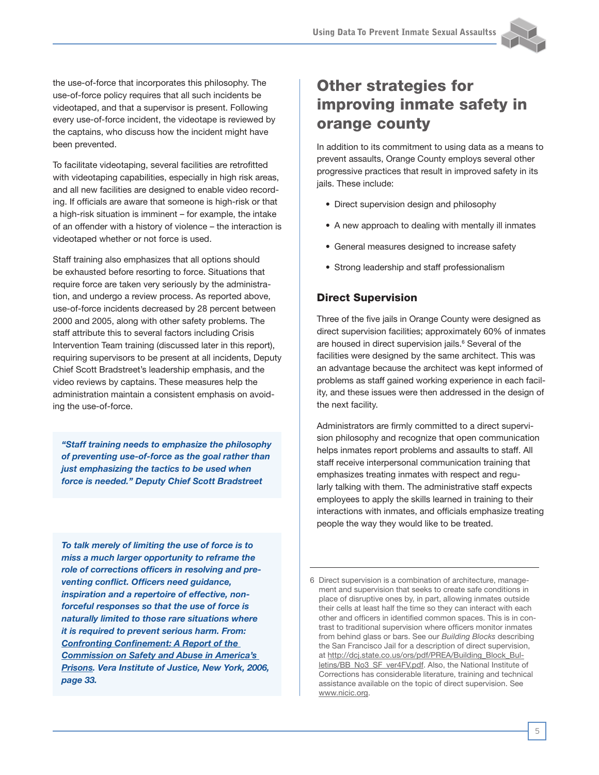

the use-of-force that incorporates this philosophy. The use-of-force policy requires that all such incidents be videotaped, and that a supervisor is present. Following every use-of-force incident, the videotape is reviewed by the captains, who discuss how the incident might have been prevented.

To facilitate videotaping, several facilities are retrofitted with videotaping capabilities, especially in high risk areas, and all new facilities are designed to enable video recording. If officials are aware that someone is high-risk or that a high-risk situation is imminent – for example, the intake of an offender with a history of violence – the interaction is videotaped whether or not force is used.

Staff training also emphasizes that all options should be exhausted before resorting to force. Situations that require force are taken very seriously by the administration, and undergo a review process. As reported above, use-of-force incidents decreased by 28 percent between 2000 and 2005, along with other safety problems. The staff attribute this to several factors including Crisis Intervention Team training (discussed later in this report), requiring supervisors to be present at all incidents, Deputy Chief Scott Bradstreet's leadership emphasis, and the video reviews by captains. These measures help the administration maintain a consistent emphasis on avoiding the use-of-force.

*"Staff training needs to emphasize the philosophy of preventing use-of-force as the goal rather than just emphasizing the tactics to be used when force is needed." Deputy Chief Scott Bradstreet*

*To talk merely of limiting the use of force is to miss a much larger opportunity to reframe the role of corrections officers in resolving and preventing conflict. Officers need guidance, inspiration and a repertoire of effective, nonforceful responses so that the use of force is naturally limited to those rare situations where it is required to prevent serious harm. From: Confronting Confinement: A Report of the Commission on Safety and Abuse in America's Prisons. Vera Institute of Justice, New York, 2006, page 33.*

# Other strategies for improving inmate safety in orange county

In addition to its commitment to using data as a means to prevent assaults, Orange County employs several other progressive practices that result in improved safety in its jails. These include:

- Direct supervision design and philosophy
- A new approach to dealing with mentally ill inmates
- General measures designed to increase safety
- Strong leadership and staff professionalism

## Direct Supervision

Three of the five jails in Orange County were designed as direct supervision facilities; approximately 60% of inmates are housed in direct supervision jails.<sup>6</sup> Several of the facilities were designed by the same architect. This was an advantage because the architect was kept informed of problems as staff gained working experience in each facility, and these issues were then addressed in the design of the next facility.

Administrators are firmly committed to a direct supervision philosophy and recognize that open communication helps inmates report problems and assaults to staff. All staff receive interpersonal communication training that emphasizes treating inmates with respect and regularly talking with them. The administrative staff expects employees to apply the skills learned in training to their interactions with inmates, and officials emphasize treating people the way they would like to be treated.

<sup>6</sup> Direct supervision is a combination of architecture, management and supervision that seeks to create safe conditions in place of disruptive ones by, in part, allowing inmates outside their cells at least half the time so they can interact with each other and officers in identified common spaces. This is in contrast to traditional supervision where officers monitor inmates from behind glass or bars. See our *Building Blocks* describing the San Francisco Jail for a description of direct supervision, at http://dcj.state.co.us/ors/pdf/PREA/Building\_Block\_Bulletins/BB\_No3\_SF\_ver4FV.pdf. Also, the National Institute of Corrections has considerable literature, training and technical assistance available on the topic of direct supervision. See www.nicic.org.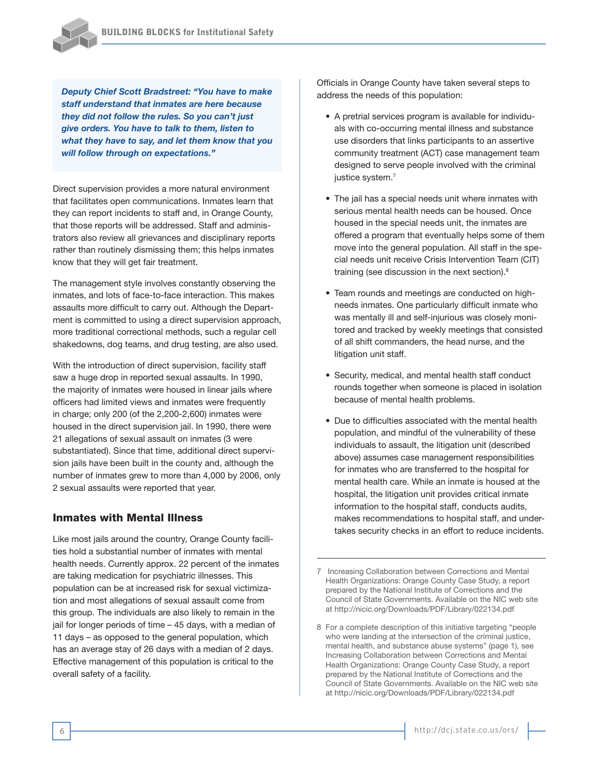*Deputy Chief Scott Bradstreet: "You have to make staff understand that inmates are here because they did not follow the rules. So you can't just give orders. You have to talk to them, listen to what they have to say, and let them know that you will follow through on expectations."*

Direct supervision provides a more natural environment that facilitates open communications. Inmates learn that they can report incidents to staff and, in Orange County, that those reports will be addressed. Staff and administrators also review all grievances and disciplinary reports rather than routinely dismissing them; this helps inmates know that they will get fair treatment.

The management style involves constantly observing the inmates, and lots of face-to-face interaction. This makes assaults more difficult to carry out. Although the Department is committed to using a direct supervision approach, more traditional correctional methods, such a regular cell shakedowns, dog teams, and drug testing, are also used.

With the introduction of direct supervision, facility staff saw a huge drop in reported sexual assaults. In 1990, the majority of inmates were housed in linear jails where officers had limited views and inmates were frequently in charge; only 200 (of the 2,200-2,600) inmates were housed in the direct supervision jail. In 1990, there were 21 allegations of sexual assault on inmates (3 were substantiated). Since that time, additional direct supervision jails have been built in the county and, although the number of inmates grew to more than 4,000 by 2006, only 2 sexual assaults were reported that year.

#### Inmates with Mental Illness

Like most jails around the country, Orange County facilities hold a substantial number of inmates with mental health needs. Currently approx. 22 percent of the inmates are taking medication for psychiatric illnesses. This population can be at increased risk for sexual victimization and most allegations of sexual assault come from this group. The individuals are also likely to remain in the jail for longer periods of time – 45 days, with a median of 11 days – as opposed to the general population, which has an average stay of 26 days with a median of 2 days. Effective management of this population is critical to the overall safety of a facility.

Officials in Orange County have taken several steps to address the needs of this population:

- A pretrial services program is available for individuals with co-occurring mental illness and substance use disorders that links participants to an assertive community treatment (ACT) case management team designed to serve people involved with the criminal justice system.<sup>7</sup>
- The jail has a special needs unit where inmates with serious mental health needs can be housed. Once housed in the special needs unit, the inmates are offered a program that eventually helps some of them move into the general population. All staff in the special needs unit receive Crisis Intervention Team (CIT) training (see discussion in the next section).<sup>8</sup>
- Team rounds and meetings are conducted on highneeds inmates. One particularly difficult inmate who was mentally ill and self-injurious was closely monitored and tracked by weekly meetings that consisted of all shift commanders, the head nurse, and the litigation unit staff.
- Security, medical, and mental health staff conduct rounds together when someone is placed in isolation because of mental health problems.
- Due to difficulties associated with the mental health population, and mindful of the vulnerability of these individuals to assault, the litigation unit (described above) assumes case management responsibilities for inmates who are transferred to the hospital for mental health care. While an inmate is housed at the hospital, the litigation unit provides critical inmate information to the hospital staff, conducts audits, makes recommendations to hospital staff, and undertakes security checks in an effort to reduce incidents.

<sup>7</sup> Increasing Collaboration between Corrections and Mental Health Organizations: Orange County Case Study, a report prepared by the National Institute of Corrections and the Council of State Governments. Available on the NIC web site at http://nicic.org/Downloads/PDF/Library/022134.pdf

<sup>8</sup> For a complete description of this initiative targeting "people who were landing at the intersection of the criminal justice, mental health, and substance abuse systems" (page 1), see Increasing Collaboration between Corrections and Mental Health Organizations: Orange County Case Study, a report prepared by the National Institute of Corrections and the Council of State Governments. Available on the NIC web site at http://nicic.org/Downloads/PDF/Library/022134.pdf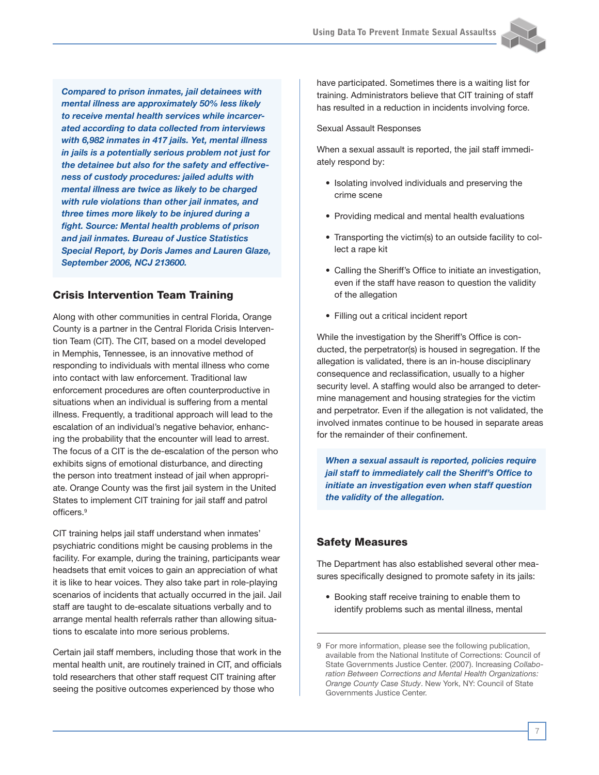

*Compared to prison inmates, jail detainees with mental illness are approximately 50% less likely to receive mental health services while incarcerated according to data collected from interviews with 6,982 inmates in 417 jails. Yet, mental illness in jails is a potentially serious problem not just for the detainee but also for the safety and effectiveness of custody procedures: jailed adults with mental illness are twice as likely to be charged with rule violations than other jail inmates, and three times more likely to be injured during a fight. Source: Mental health problems of prison and jail inmates. Bureau of Justice Statistics Special Report, by Doris James and Lauren Glaze, September 2006, NCJ 213600.*

#### Crisis Intervention Team Training

Along with other communities in central Florida, Orange County is a partner in the Central Florida Crisis Intervention Team (CIT). The CIT, based on a model developed in Memphis, Tennessee, is an innovative method of responding to individuals with mental illness who come into contact with law enforcement. Traditional law enforcement procedures are often counterproductive in situations when an individual is suffering from a mental illness. Frequently, a traditional approach will lead to the escalation of an individual's negative behavior, enhancing the probability that the encounter will lead to arrest. The focus of a CIT is the de-escalation of the person who exhibits signs of emotional disturbance, and directing the person into treatment instead of jail when appropriate. Orange County was the first jail system in the United States to implement CIT training for jail staff and patrol officers.9

CIT training helps jail staff understand when inmates' psychiatric conditions might be causing problems in the facility. For example, during the training, participants wear headsets that emit voices to gain an appreciation of what it is like to hear voices. They also take part in role-playing scenarios of incidents that actually occurred in the jail. Jail staff are taught to de-escalate situations verbally and to arrange mental health referrals rather than allowing situations to escalate into more serious problems.

Certain jail staff members, including those that work in the mental health unit, are routinely trained in CIT, and officials told researchers that other staff request CIT training after seeing the positive outcomes experienced by those who

have participated. Sometimes there is a waiting list for training. Administrators believe that CIT training of staff has resulted in a reduction in incidents involving force.

Sexual Assault Responses

When a sexual assault is reported, the jail staff immediately respond by:

- Isolating involved individuals and preserving the crime scene
- Providing medical and mental health evaluations
- Transporting the victim(s) to an outside facility to collect a rape kit
- Calling the Sheriff's Office to initiate an investigation, even if the staff have reason to question the validity of the allegation
- Filling out a critical incident report

While the investigation by the Sheriff's Office is conducted, the perpetrator(s) is housed in segregation. If the allegation is validated, there is an in-house disciplinary consequence and reclassification, usually to a higher security level. A staffing would also be arranged to determine management and housing strategies for the victim and perpetrator. Even if the allegation is not validated, the involved inmates continue to be housed in separate areas for the remainder of their confinement.

*When a sexual assault is reported, policies require jail staff to immediately call the Sheriff's Office to initiate an investigation even when staff question the validity of the allegation.*

#### Safety Measures

The Department has also established several other measures specifically designed to promote safety in its jails:

• Booking staff receive training to enable them to identify problems such as mental illness, mental

<sup>9</sup> For more information, please see the following publication, available from the National Institute of Corrections: Council of State Governments Justice Center. (2007). Increasing *Collaboration Between Corrections and Mental Health Organizations: Orange County Case Study*. New York, NY: Council of State Governments Justice Center.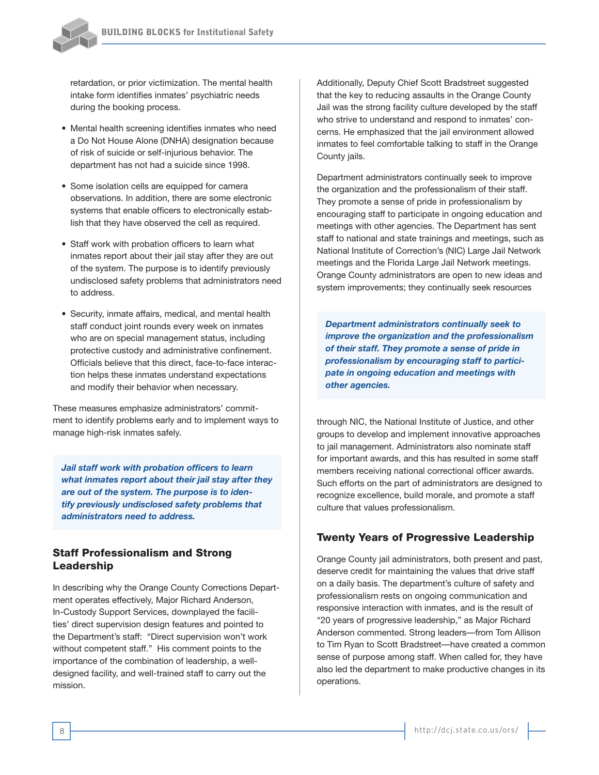

retardation, or prior victimization. The mental health intake form identifies inmates' psychiatric needs during the booking process.

- Mental health screening identifies inmates who need a Do Not House Alone (DNHA) designation because of risk of suicide or self-injurious behavior. The department has not had a suicide since 1998.
- Some isolation cells are equipped for camera observations. In addition, there are some electronic systems that enable officers to electronically establish that they have observed the cell as required.
- Staff work with probation officers to learn what inmates report about their jail stay after they are out of the system. The purpose is to identify previously undisclosed safety problems that administrators need to address.
- Security, inmate affairs, medical, and mental health staff conduct joint rounds every week on inmates who are on special management status, including protective custody and administrative confinement. Officials believe that this direct, face-to-face interaction helps these inmates understand expectations and modify their behavior when necessary.

These measures emphasize administrators' commitment to identify problems early and to implement ways to manage high-risk inmates safely.

*Jail staff work with probation officers to learn what inmates report about their jail stay after they are out of the system. The purpose is to identify previously undisclosed safety problems that administrators need to address.* 

#### Staff Professionalism and Strong Leadership

In describing why the Orange County Corrections Department operates effectively, Major Richard Anderson, In-Custody Support Services, downplayed the facilities' direct supervision design features and pointed to the Department's staff: "Direct supervision won't work without competent staff." His comment points to the importance of the combination of leadership, a welldesigned facility, and well-trained staff to carry out the mission.

Additionally, Deputy Chief Scott Bradstreet suggested that the key to reducing assaults in the Orange County Jail was the strong facility culture developed by the staff who strive to understand and respond to inmates' concerns. He emphasized that the jail environment allowed inmates to feel comfortable talking to staff in the Orange County jails.

Department administrators continually seek to improve the organization and the professionalism of their staff. They promote a sense of pride in professionalism by encouraging staff to participate in ongoing education and meetings with other agencies. The Department has sent staff to national and state trainings and meetings, such as National Institute of Correction's (NIC) Large Jail Network meetings and the Florida Large Jail Network meetings. Orange County administrators are open to new ideas and system improvements; they continually seek resources

*Department administrators continually seek to improve the organization and the professionalism of their staff. They promote a sense of pride in professionalism by encouraging staff to participate in ongoing education and meetings with other agencies.* 

through NIC, the National Institute of Justice, and other groups to develop and implement innovative approaches to jail management. Administrators also nominate staff for important awards, and this has resulted in some staff members receiving national correctional officer awards. Such efforts on the part of administrators are designed to recognize excellence, build morale, and promote a staff culture that values professionalism.

#### Twenty Years of Progressive Leadership

Orange County jail administrators, both present and past, deserve credit for maintaining the values that drive staff on a daily basis. The department's culture of safety and professionalism rests on ongoing communication and responsive interaction with inmates, and is the result of "20 years of progressive leadership," as Major Richard Anderson commented. Strong leaders—from Tom Allison to Tim Ryan to Scott Bradstreet—have created a common sense of purpose among staff. When called for, they have also led the department to make productive changes in its operations.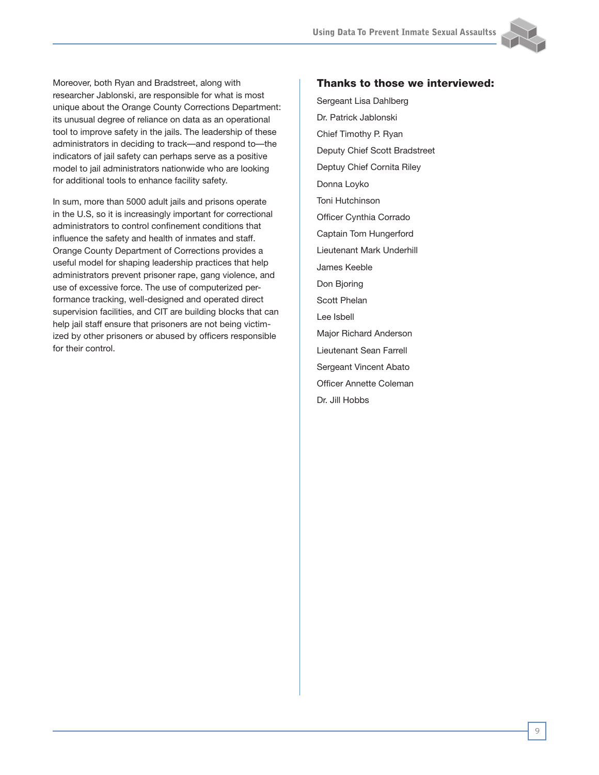

Moreover, both Ryan and Bradstreet, along with researcher Jablonski, are responsible for what is most unique about the Orange County Corrections Department: its unusual degree of reliance on data as an operational tool to improve safety in the jails. The leadership of these administrators in deciding to track—and respond to—the indicators of jail safety can perhaps serve as a positive model to jail administrators nationwide who are looking for additional tools to enhance facility safety.

In sum, more than 5000 adult jails and prisons operate in the U.S, so it is increasingly important for correctional administrators to control confinement conditions that influence the safety and health of inmates and staff. Orange County Department of Corrections provides a useful model for shaping leadership practices that help administrators prevent prisoner rape, gang violence, and use of excessive force. The use of computerized performance tracking, well-designed and operated direct supervision facilities, and CIT are building blocks that can help jail staff ensure that prisoners are not being victimized by other prisoners or abused by officers responsible for their control.

#### Thanks to those we interviewed:

Sergeant Lisa Dahlberg Dr. Patrick Jablonski Chief Timothy P. Ryan Deputy Chief Scott Bradstreet Deptuy Chief Cornita Riley Donna Loyko Toni Hutchinson Officer Cynthia Corrado Captain Tom Hungerford Lieutenant Mark Underhill James Keeble Don Bjoring Scott Phelan Lee Isbell Major Richard Anderson Lieutenant Sean Farrell Sergeant Vincent Abato Officer Annette Coleman Dr. Jill Hobbs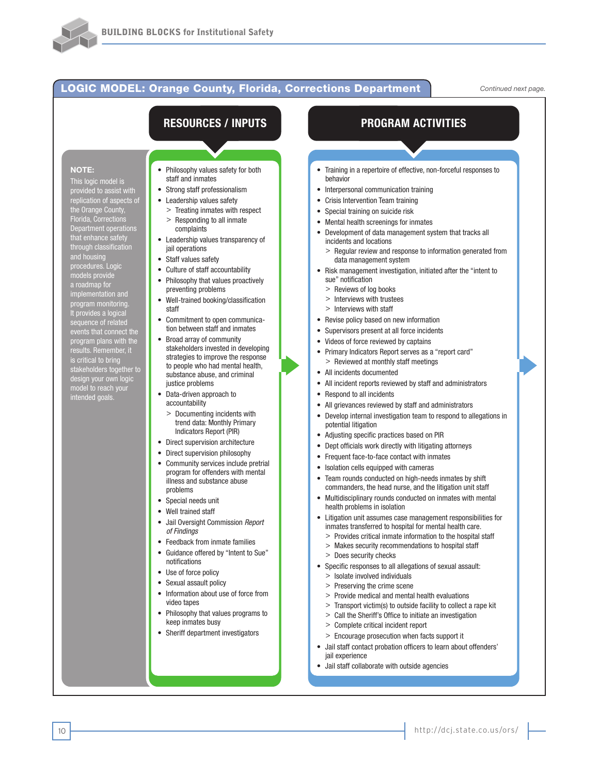#### LOGIC MODEL: Orange County, Florida, Corrections Department *Continued next page.*

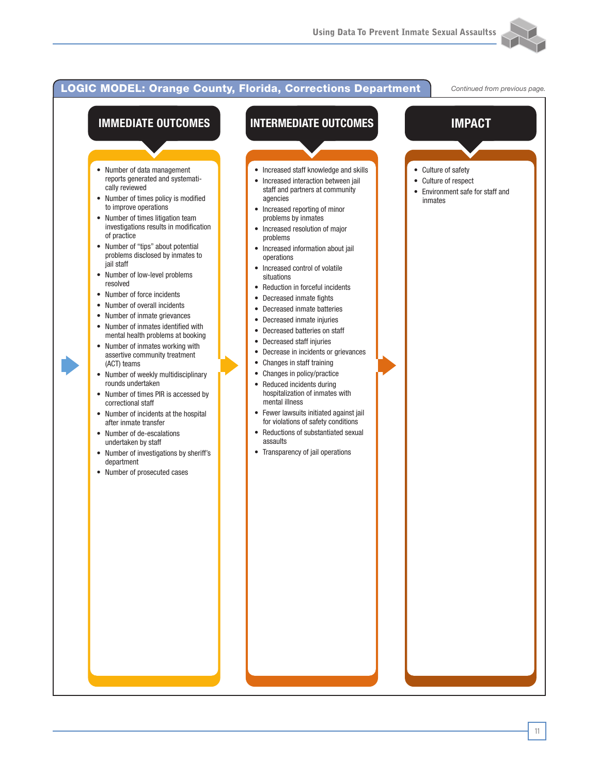

#### **IMMEDIATE OUTCOMES** • Number of data management reports generated and systematically reviewed • Number of times policy is modified to improve operations • Number of times litigation team investigations results in modification of practice • Number of "tips" about potential problems disclosed by inmates to jail staff • Number of low-level problems resolved • Number of force incidents • Number of overall incidents • Number of inmate grievances • Number of inmates identified with mental health problems at booking • Number of inmates working with assertive community treatment (ACT) teams • Number of weekly multidisciplinary rounds undertaken • Number of times PIR is accessed by correctional staff • Number of incidents at the hospital after inmate transfer • Number of de-escalations undertaken by staff • Number of investigations by sheriff's department • Number of prosecuted cases **INTERMEDIATE OUTCOMES** • Increased staff knowledge and skills • Increased interaction between jail staff and partners at community agencies • Increased reporting of minor problems by inmates • Increased resolution of major problems • Increased information about jail operations • Increased control of volatile situations • Reduction in forceful incidents • Decreased inmate fights • Decreased inmate batteries • Decreased inmate injuries • Decreased batteries on staff • Decreased staff injuries • Decrease in incidents or grievances • Changes in staff training • Changes in policy/practice • Reduced incidents during hospitalization of inmates with mental illness • Fewer lawsuits initiated against jail for violations of safety conditions • Reductions of substantiated sexual assaults • Transparency of jail operations **IMPACT** • Culture of safety • Culture of respect • Environment safe for staff and inmates LOGIC MODEL: Orange County, Florida, Corrections Department *Continued from previous page.*